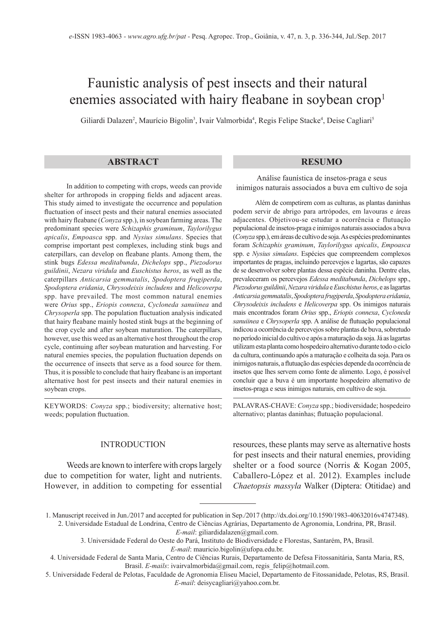# Faunistic analysis of pest insects and their natural enemies associated with hairy fleabane in soybean crop<sup>1</sup>

Giliardi Dalazen², Maurício Bigolin<sup>3</sup>, Ivair Valmorbida<sup>4</sup>, Regis Felipe Stacke<sup>4</sup>, Deise Cagliari<sup>s</sup>

## **ABSTRACT RESUMO**

In addition to competing with crops, weeds can provide shelter for arthropods in cropping fields and adjacent areas. This study aimed to investigate the occurrence and population fluctuation of insect pests and their natural enemies associated with hairy fleabane (*Conyza* spp.), in soybean farming areas. The predominant species were *Schizaphis graminum*, *Taylorilygus apicalis*, *Empoasca* spp. and *Nysius simulans*. Species that comprise important pest complexes, including stink bugs and caterpillars, can develop on fleabane plants. Among them, the stink bugs *Edessa meditabunda*, *Dichelops* spp., *Piezodorus guildinii*, *Nezara viridula* and *Euschistus heros*, as well as the caterpillars *Anticarsia gemmatalis*, *Spodoptera frugiperda*, *Spodoptera eridania*, *Chrysodeixis includens* and *Helicoverpa*  spp. have prevailed. The most common natural enemies were *Orius* spp., *Eriopis connexa*, *Cycloneda sanuiinea* and *Chrysoperla* spp. The population fluctuation analysis indicated that hairy fleabane mainly hosted stink bugs at the beginning of the crop cycle and after soybean maturation. The caterpillars, however, use this weed as an alternative host throughout the crop cycle, continuing after soybean maturation and harvesting. For natural enemies species, the population fluctuation depends on the occurrence of insects that serve as a food source for them. Thus, it is possible to conclude that hairy fleabane is an important alternative host for pest insects and their natural enemies in soybean crops.

KEYWORDS: *Conyza* spp.; biodiversity; alternative host; weeds; population fluctuation.

#### INTRODUCTION

Weeds are known to interfere with crops largely due to competition for water, light and nutrients. However, in addition to competing for essential

Análise faunística de insetos-praga e seus inimigos naturais associados a buva em cultivo de soja

Além de competirem com as culturas, as plantas daninhas podem servir de abrigo para artrópodes, em lavouras e áreas adjacentes. Objetivou-se estudar a ocorrência e flutuação populacional de insetos-praga e inimigos naturais associados a buva (*Conyza* spp.), em áreas de cultivo de soja. As espécies predominantes foram *Schizaphis graminum*, *Taylorilygus apicalis*, *Empoasca*  spp. e *Nysius simulans*. Espécies que compreendem complexos importantes de pragas, incluindo percevejos e lagartas, são capazes de se desenvolver sobre plantas dessa espécie daninha. Dentre elas, prevaleceram os percevejos *Edessa meditabunda*, *Dichelops* spp., *Piezodorus guildinii*, *Nezara viridula* e *Euschistus heros*, e as lagartas *Anticarsia gemmatalis*, *Spodoptera frugiperda*, *Spodoptera eridania*, *Chrysodeixis includens* e *Helicoverpa* spp. Os inimigos naturais mais encontrados foram *Orius* spp., *Eriopis connexa*, *Cycloneda sanuiinea* e *Chrysoperla* spp. A análise de flutuação populacional indicou a ocorrência de percevejos sobre plantas de buva, sobretudo no período inicial do cultivo e após a maturação da soja. Já as lagartas utilizam esta planta como hospedeiro alternativo durante todo o ciclo da cultura, continuando após a maturação e colheita da soja. Para os inimigos naturais, a flutuação das espécies depende da ocorrência de insetos que lhes servem como fonte de alimento. Logo, é possível concluir que a buva é um importante hospedeiro alternativo de insetos-praga e seus inimigos naturais, em cultivo de soja.

PALAVRAS-CHAVE: *Conyza* spp.; biodiversidade; hospedeiro alternativo; plantas daninhas; flutuação populacional.

resources, these plants may serve as alternative hosts for pest insects and their natural enemies, providing shelter or a food source (Norris & Kogan 2005, Caballero-López et al. 2012). Examples include *Chaetopsis massyla* Walker (Diptera: Otitidae) and

*E-mail*: giliardidalazen@gmail.com.

<sup>1.</sup> Manuscript received in Jun./2017 and accepted for publication in Sep./2017 (http://dx.doi.org/10.1590/1983-40632016v4747348). 2. Universidade Estadual de Londrina, Centro de Ciências Agrárias, Departamento de Agronomia, Londrina, PR, Brasil.

<sup>3.</sup> Universidade Federal do Oeste do Pará, Instituto de Biodiversidade e Florestas, Santarém, PA, Brasil. *E-mail*: mauricio.bigolin@ufopa.edu.br.

<sup>4.</sup> Universidade Federal de Santa Maria, Centro de Ciências Rurais, Departamento de Defesa Fitossanitária, Santa Maria, RS, Brasil. *E-mails*: ivairvalmorbida@gmail.com, regis felip@hotmail.com.

<sup>5.</sup> Universidade Federal de Pelotas, Faculdade de Agronomia Eliseu Maciel, Departamento de Fitossanidade, Pelotas, RS, Brasil. *E-mail*: deisycagliari@yahoo.com.br.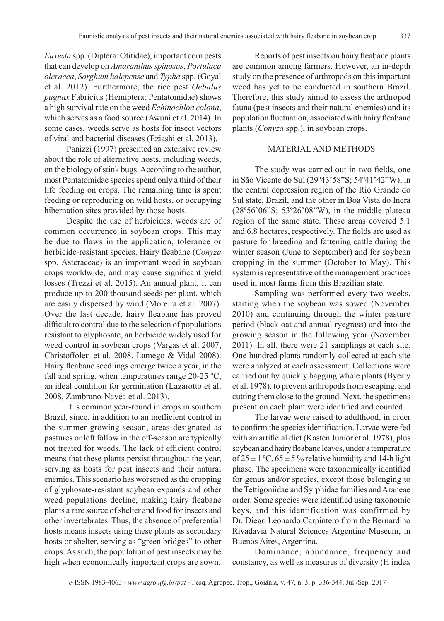*Euxesta* spp. (Diptera: Otitidae), important corn pests that can develop on *Amaranthus spinosus*, *Portulaca oleracea*, *Sorghum halepense* and *Typha* spp. (Goyal et al. 2012). Furthermore, the rice pest *Oebalus pugnax* Fabricius (Hemiptera: Pentatomidae) shows a high survival rate on the weed *Echinochloa colona*, which serves as a food source (Awuni et al. 2014). In some cases, weeds serve as hosts for insect vectors of viral and bacterial diseases (Eziashi et al. 2013).

Panizzi (1997) presented an extensive review about the role of alternative hosts, including weeds, on the biology of stink bugs. According to the author, most Pentatomidae species spend only a third of their life feeding on crops. The remaining time is spent feeding or reproducing on wild hosts, or occupying hibernation sites provided by those hosts.

Despite the use of herbicides, weeds are of common occurrence in soybean crops. This may be due to flaws in the application, tolerance or herbicide-resistant species. Hairy fleabane (*Conyza*  spp. Asteraceae) is an important weed in soybean crops worldwide, and may cause significant yield losses (Trezzi et al. 2015). An annual plant, it can produce up to 200 thousand seeds per plant, which are easily dispersed by wind (Moreira et al. 2007). Over the last decade, hairy fleabane has proved difficult to control due to the selection of populations resistant to glyphosate, an herbicide widely used for weed control in soybean crops (Vargas et al. 2007, Christoffoleti et al. 2008, Lamego & Vidal 2008). Hairy fleabane seedlings emerge twice a year, in the fall and spring, when temperatures range 20-25 ºC, an ideal condition for germination (Lazarotto et al. 2008, Zambrano-Navea et al. 2013).

It is common year-round in crops in southern Brazil, since, in addition to an inefficient control in the summer growing season, areas designated as pastures or left fallow in the off-season are typically not treated for weeds. The lack of efficient control means that these plants persist throughout the year, serving as hosts for pest insects and their natural enemies. This scenario has worsened as the cropping of glyphosate-resistant soybean expands and other weed populations decline, making hairy fleabane plants a rare source of shelter and food for insects and other invertebrates. Thus, the absence of preferential hosts means insects using these plants as secondary hosts or shelter, serving as "green bridges" to other crops. As such, the population of pest insects may be high when economically important crops are sown.

Reports of pest insects on hairy fleabane plants are common among farmers. However, an in-depth study on the presence of arthropods on this important weed has yet to be conducted in southern Brazil. Therefore, this study aimed to assess the arthropod fauna (pest insects and their natural enemies) and its population fluctuation, associated with hairy fleabane plants (*Conyza* spp.), in soybean crops.

## MATERIAL AND METHODS

The study was carried out in two fields, one in São Vicente do Sul (29º43'58"S; 54º41'42"W), in the central depression region of the Rio Grande do Sul state, Brazil, and the other in Boa Vista do Incra (28º56'06"S; 53º26'08"W), in the middle plateau region of the same state. These areas covered 5.1 and 6.8 hectares, respectively. The fields are used as pasture for breeding and fattening cattle during the winter season (June to September) and for soybean cropping in the summer (October to May). This system is representative of the management practices used in most farms from this Brazilian state.

Sampling was performed every two weeks, starting when the soybean was sowed (November 2010) and continuing through the winter pasture period (black oat and annual ryegrass) and into the growing season in the following year (November 2011). In all, there were 21 samplings at each site. One hundred plants randomly collected at each site were analyzed at each assessment. Collections were carried out by quickly bagging whole plants (Byerly et al. 1978), to prevent arthropods from escaping, and cutting them close to the ground. Next, the specimens present on each plant were identified and counted.

The larvae were raised to adulthood, in order to confirm the species identification. Larvae were fed with an artificial diet (Kasten Junior et al. 1978), plus soybean and hairy fleabane leaves, under a temperature of  $25 \pm 1$  °C,  $65 \pm 5$  % relative humidity and 14-h light phase. The specimens were taxonomically identified for genus and/or species, except those belonging to the Tettigoniidae and Syrphidae families and Araneae order. Some species were identified using taxonomic keys, and this identification was confirmed by Dr. Diego Leonardo Carpintero from the Bernardino Rivadavia Natural Sciences Argentine Museum, in Buenos Aires, Argentina.

Dominance, abundance, frequency and constancy, as well as measures of diversity (H index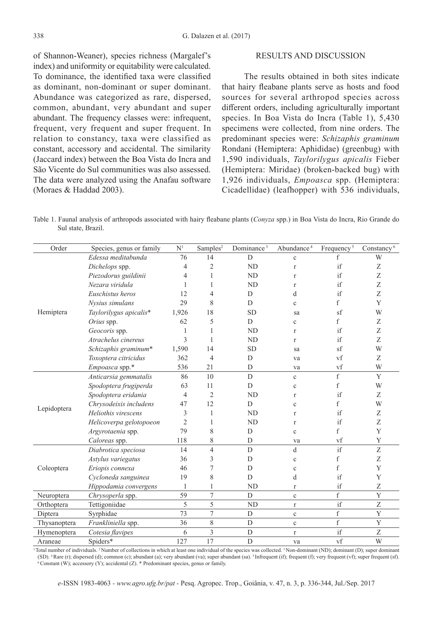of Shannon-Weaner), species richness (Margalef's index) and uniformity or equitability were calculated. To dominance, the identified taxa were classified as dominant, non-dominant or super dominant. Abundance was categorized as rare, dispersed, common, abundant, very abundant and super abundant. The frequency classes were: infrequent, frequent, very frequent and super frequent. In relation to constancy, taxa were classified as constant, accessory and accidental. The similarity (Jaccard index) between the Boa Vista do Incra and São Vicente do Sul communities was also assessed. The data were analyzed using the Anafau software (Moraes & Haddad 2003).

#### RESULTS AND DISCUSSION

The results obtained in both sites indicate that hairy fleabane plants serve as hosts and food sources for several arthropod species across different orders, including agriculturally important species. In Boa Vista do Incra (Table 1), 5,430 specimens were collected, from nine orders. The predominant species were: *Schizaphis graminum* Rondani (Hemiptera: Aphididae) (greenbug) with 1,590 individuals, *Taylorilygus apicalis* Fieber (Hemiptera: Miridae) (broken-backed bug) with 1,926 individuals, *Empoasca* spp. (Hemiptera: Cicadellidae) (leafhopper) with 536 individuals,

Table 1. Faunal analysis of arthropods associated with hairy fleabane plants (*Conyza* spp.) in Boa Vista do Incra, Rio Grande do Sul state, Brazil.

| Order        | Species, genus or family | $\mathbf{N}^1$ | Samples <sup>2</sup> | Dominance <sup>3</sup> | Abundance <sup>4</sup> | Frequency <sup>5</sup>  | Constancy <sup>6</sup>    |
|--------------|--------------------------|----------------|----------------------|------------------------|------------------------|-------------------------|---------------------------|
| Hemiptera    | Edessa meditabunda       | 76             | 14                   | D                      | $\mathbf c$            | f                       | W                         |
|              | Dichelops spp.           | $\overline{4}$ | $\mathfrak{2}$       | <b>ND</b>              | $\mathbf r$            | if                      | Z                         |
|              | Piezodorus guildinii     | 4              | 1                    | <b>ND</b>              | $\mathbf{r}$           | if                      | Z                         |
|              | Nezara viridula          | 1              | 1                    | <b>ND</b>              | $\mathbf{r}$           | if                      | Z                         |
|              | Euschistus heros         | 12             | 4                    | D                      | d                      | if                      | Z                         |
|              | Nysius simulans          | 29             | 8                    | D                      | $\mathbf{C}$           | f                       | Y                         |
|              | Taylorilygus apicalis*   | 1,926          | 18                   | <b>SD</b>              | sa                     | sf                      | W                         |
|              | Orius spp.               | 62             | 5                    | D                      | $\mathbf{c}$           | f                       | Z                         |
|              | Geocoris spp.            | 1              | 1                    | <b>ND</b>              | $\mathbf{r}$           | if                      | Z                         |
|              | Atrachelus cinereus      | 3              | 1                    | <b>ND</b>              | $\mathbf{r}$           | if                      | Z                         |
|              | Schizaphis graminum*     | 1,590          | 14                   | <b>SD</b>              | sa                     | sf                      | W                         |
|              | Toxoptera citricidus     | 362            | 4                    | D                      | va                     | vf                      | Z                         |
|              | Empoasca spp.*           | 536            | 21                   | D                      | va                     | vf                      | W                         |
|              | Anticarsia gemmatalis    | 86             | 10                   | D                      | $\mathbf{c}$           | $\mathbf f$             | Y                         |
|              | Spodoptera frugiperda    | 63             | 11                   | $\mathbf D$            | $\mathbf c$            | f                       | W                         |
|              | Spodoptera eridania      | $\overline{4}$ | $\overline{c}$       | <b>ND</b>              | $\mathbf{r}$           | if                      | Z                         |
| Lepidoptera  | Chrysodeixis includens   | 47             | 12                   | D                      | $\mathbf c$            | f                       | W                         |
|              | Heliothis virescens      | 3              | 1                    | <b>ND</b>              | $\mathbf{r}$           | if                      | Z                         |
|              | Helicoverpa gelotopoeon  | $\overline{2}$ | 1                    | <b>ND</b>              | $\mathbf{r}$           | if                      | Z                         |
|              | Argyrotaenia spp.        | 79             | 8                    | D                      | $\mathbf c$            | f                       | Y                         |
|              | Caloreas spp.            | 118            | 8                    | D                      | va                     | vf                      | Y                         |
| Coleoptera   | Diabrotica speciosa      | 14             | $\overline{4}$       | D                      | d                      | if                      | Z                         |
|              | Astylus variegatus       | 36             | 3                    | $\mathbf D$            | $\mathbf c$            | f                       | Z                         |
|              | Eriopis connexa          | 46             | 7                    | D                      | $\mathbf c$            | $\mathbf f$             | Y                         |
|              | Cycloneda sanguinea      | 19             | 8                    | D                      | d                      | if                      | Y                         |
|              | Hippodamia convergens    | 1              | 1                    | <b>ND</b>              | $\mathbf r$            | if                      | $\ensuremath{\mathbf{Z}}$ |
| Neuroptera   | Chrysoperla spp.         | 59             | $\overline{7}$       | $\mathbf D$            | $\mathbf c$            | $\mathbf f$             | $\mathbf Y$               |
| Orthoptera   | Tettigoniidae            | 5              | 5                    | N <sub>D</sub>         | $\mathbf r$            | if                      | $\ensuremath{\mathbf{Z}}$ |
| Diptera      | Syrphidae                | 73             | $\overline{7}$       | ${\rm D}$              | $\mathbf c$            | $\overline{f}$          | Y                         |
| Thysanoptera | Frankliniella spp.       | 36             | 8                    | $\mathbf D$            | $\mathbf c$            | $\overline{\mathrm{f}}$ | $\mathbf Y$               |
| Hymenoptera  | Cotesia flavipes         | 6              | $\overline{3}$       | $\overline{D}$         | $\mathbf r$            | if                      | Z                         |
| Araneae      | Spiders*                 | 127            | 17                   | D                      | va                     | vf                      | W                         |

<sup>1</sup>Total number of individuals. <sup>2</sup>Number of collections in which at least one individual of the species was collected. <sup>3</sup>Non-dominant (ND); dominant (D); super dominant (SD). <sup>4</sup>Rare (r); dispersed (d); common (c); abundant (a); very abundant (va); super abundant (sa). <sup>5</sup>Infrequent (if); frequent (f); very frequent (vf); super frequent (sf). <sup>6</sup>Constant (W); accessory (Y); accidental (Z)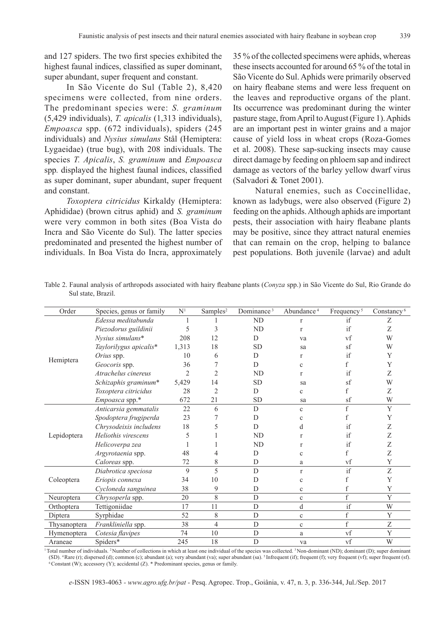and 127 spiders. The two first species exhibited the highest faunal indices, classified as super dominant, super abundant, super frequent and constant.

In São Vicente do Sul (Table 2), 8,420 specimens were collected, from nine orders. The predominant species were: *S. graminum* (5,429 individuals), *T. apicalis* (1,313 individuals), *Empoasca* spp. (672 individuals), spiders (245 individuals) and *Nysius simulans* Stål (Hemiptera: Lygaeidae) (true bug), with 208 individuals. The species *T. Apicalis*, *S. graminum* and *Empoasca*  spp*.* displayed the highest faunal indices, classified as super dominant, super abundant, super frequent and constant.

*Toxoptera citricidus* Kirkaldy (Hemiptera: Aphididae) (brown citrus aphid) and *S. graminum*  were very common in both sites (Boa Vista do Incra and São Vicente do Sul). The latter species predominated and presented the highest number of individuals. In Boa Vista do Incra, approximately

35 % of the collected specimens were aphids, whereas these insects accounted for around 65 % of the total in São Vicente do Sul. Aphids were primarily observed on hairy fleabane stems and were less frequent on the leaves and reproductive organs of the plant. Its occurrence was predominant during the winter pasture stage, from April to August (Figure 1). Aphids are an important pest in winter grains and a major cause of yield loss in wheat crops (Roza-Gomes et al. 2008). These sap-sucking insects may cause direct damage by feeding on phloem sap and indirect damage as vectors of the barley yellow dwarf virus (Salvadori & Tonet 2001).

Natural enemies, such as Coccinellidae, known as ladybugs, were also observed (Figure 2) feeding on the aphids. Although aphids are important pests, their association with hairy fleabane plants may be positive, since they attract natural enemies that can remain on the crop, helping to balance pest populations. Both juvenile (larvae) and adult

| Table 2. Faunal analysis of arthropods associated with hairy fleabane plants (Conyza spp.) in São Vicente do Sul, Rio Grande do |  |  |
|---------------------------------------------------------------------------------------------------------------------------------|--|--|
| Sul state, Brazil.                                                                                                              |  |  |

| Order        | Species, genus or family | N <sup>1</sup> | Samples <sup>2</sup> | Dominance <sup>3</sup> | Abundance <sup>4</sup> | Frequency <sup>5</sup> | Constancy <sup>6</sup> |
|--------------|--------------------------|----------------|----------------------|------------------------|------------------------|------------------------|------------------------|
|              | Edessa meditabunda       |                |                      | ND                     | $\mathbf{r}$           | if                     | Ζ                      |
|              | Piezodorus guildinii     | 5              | 3                    | <b>ND</b>              | r                      | if                     | Ζ                      |
|              | Nysius simulans*         | 208            | 12                   | D                      | va                     | vf                     | W                      |
|              | Taylorilygus apicalis*   | 1,313          | 18                   | <b>SD</b>              | sa                     | sf                     | W                      |
|              | Orius spp.               | 10             | 6                    | D                      | r                      | if                     | Y                      |
| Hemiptera    | Geocoris spp.            | 36             |                      | D                      | $\mathbf{C}$           | $\mathbf f$            | Y                      |
|              | Atrachelus cinereus      | $\overline{2}$ | $\overline{2}$       | <b>ND</b>              | r                      | if                     | Z                      |
|              | Schizaphis graminum*     | 5,429          | 14                   | <b>SD</b>              | sa                     | sf                     | W                      |
|              | Toxoptera citricidus     | 28             | 2                    | D                      | $\mathbf c$            | $\mathbf f$            | Z                      |
|              | Empoasca spp.*           | 672            | 21                   | <b>SD</b>              | sa                     | sf                     | W                      |
|              | Anticarsia gemmatalis    | 22             | 6                    | D                      | $\mathbf{c}$           | $\mathbf f$            | Y                      |
|              | Spodoptera frugiperda    | 23             |                      | D                      | $\mathbf c$            | $\mathbf f$            | Y                      |
|              | Chrysodeixis includens   | 18             | 5                    | D                      | d                      | if                     | Ζ                      |
| Lepidoptera  | Heliothis virescens      | 5              |                      | <b>ND</b>              | r                      | if                     | Z                      |
|              | Helicoverpa zea          |                |                      | <b>ND</b>              | r                      | if                     | Z                      |
|              | Argyrotaenia spp.        | 48             |                      | D                      | $\mathbf c$            | $\rm f$                | Ζ                      |
|              | Caloreas spp.            | 72             | 8                    | D                      | a                      | vf                     | Y                      |
| Coleoptera   | Diabrotica speciosa      | 9              | 5                    | D                      | $\mathbf{r}$           | if                     | Z                      |
|              | Eriopis connexa          | 34             | 10                   | D                      | $\mathbf c$            | $\mathbf f$            | Y                      |
|              | Cycloneda sanguinea      | 38             | 9                    | D                      | $\mathbf c$            | $\mathbf f$            | Y                      |
| Neuroptera   | Chrysoperla spp.         | 20             | 8                    | D                      | $\mathbf c$            | $\mathbf f$            | Y                      |
| Orthoptera   | Tettigoniidae            | 17             | 11                   | D                      | d                      | if                     | W                      |
| Diptera      | Syrphidae                | 52             | 8                    | $\mathbf D$            | $\mathbf c$            | $\rm f$                | Y                      |
| Thysanoptera | Frankliniella spp.       | 38             | $\overline{4}$       | D                      | $\mathbf c$            | f                      | Ζ                      |
| Hymenoptera  | Cotesia flavipes         | 74             | 10                   | D                      | a                      | vf                     | Y                      |
| Araneae      | Spiders*                 | 245            | 18                   | D                      | va                     | vf                     | W                      |

<sup>1</sup>Total number of individuals. <sup>2</sup>Number of collections in which at least one individual of the species was collected. <sup>3</sup>Non-dominant (ND); dominant (D); super dominant (SD). <sup>4</sup>Rare (r); dispersed (d); common (c); abundant (a); very abundant (va); super abundant (sa). <sup>5</sup>Infrequent (if); frequent (f); very frequent (vf); super frequent (sf). <sup>6</sup>Constant (W); accessory (Y); accidental (Z)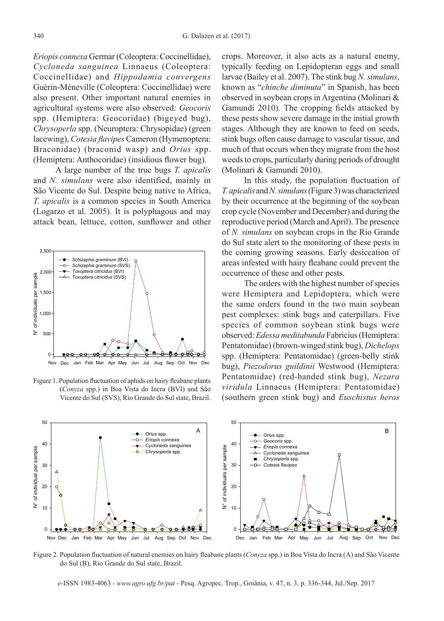*Eriopis connexa* Germar (Coleoptera: Coccinellidae), *Cycloneda sanguinea* Linnaeus (Coleoptera: Coccinellidae) and *Hippodamia convergens*  Guérin-Méneville (Coleoptera: Coccinellidae) were also present. Other important natural enemies in agricultural systems were also observed: *Geocoris* spp. (Hemiptera: Geocoridae) (bigeyed bug), *Chrysoperla* spp. (Neuroptera: Chrysopidae) (green lacewing), *Cotesia flavipes* Cameron (Hymenoptera: Braconidae) (braconid wasp) and *Orius* spp. (Hemiptera: Anthocoridae) (insidious flower bug).

A large number of the true bugs *T. apicalis*  and *N. simulans* were also identified, mainly in São Vicente do Sul. Despite being native to Africa, *T. apicalis* is a common species in South America (Logarzo et al. 2005). It is polyphagous and may attack bean, lettuce, cotton, sunflower and other



Figure 1. Population fluctuation of aphids on hairy fleabane plants (*Conyza* spp.) in Boa Vista do Incra (BVI) and São Vicente do Sul (SVS), Rio Grande do Sul state, Brazil.

crops. Moreover, it also acts as a natural enemy, typically feeding on Lepidopteran eggs and small larvae (Bailey et al. 2007). The stink bug *N. simulans*, known as "*chinche diminuta*" in Spanish, has been observed in soybean crops in Argentina (Molinari & Gamundi 2010). The cropping fields attacked by these pests show severe damage in the initial growth stages. Although they are known to feed on seeds, stink bugs often cause damage to vascular tissue, and much of that occurs when they migrate from the host weeds to crops, particularly during periods of drought (Molinari & Gamundi 2010).

In this study, the population fluctuation of *T. apicalis* and *N. simulans* (Figure 3) was characterized by their occurrence at the beginning of the soybean crop cycle (November and December) and during the reproductive period (March and April). The presence of *N. simulans* on soybean crops in the Rio Grande do Sul state alert to the monitoring of these pests in the coming growing seasons. Early desiccation of areas infested with hairy fleabane could prevent the occurrence of these and other pests.

The orders with the highest number of species were Hemiptera and Lepidoptera, which were the same orders found in the two main soybean pest complexes: stink bugs and caterpillars. Five species of common soybean stink bugs were observed: *Edessa meditabunda* Fabricius (Hemiptera: Pentatomidae) (brown-winged stink bug), *Dichelops* spp. (Hemiptera: Pentatomidae) (green-belly stink bug), *Piezodorus guildinii* Westwood (Hemiptera: Pentatomidae) (red-banded stink bug), *Nezara viridula* Linnaeus (Hemiptera: Pentatomidae) (southern green stink bug) and *Euschistus heros*



Figure 2. Population fluctuation of natural enemies on hairy fleabane plants (*Conyza* spp.) in Boa Vista do Incra (A) and São Vicente do Sul (B), Rio Grande do Sul state, Brazil.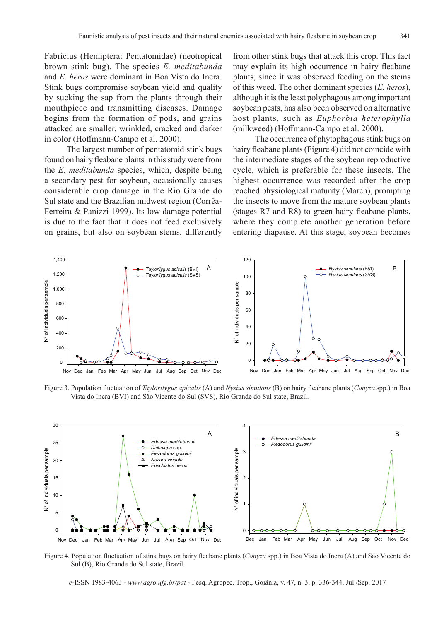Fabricius (Hemiptera: Pentatomidae) (neotropical brown stink bug). The species *E. meditabunda* and *E. heros* were dominant in Boa Vista do Incra. Stink bugs compromise soybean yield and quality by sucking the sap from the plants through their mouthpiece and transmitting diseases. Damage begins from the formation of pods, and grains attacked are smaller, wrinkled, cracked and darker in color (Hoffmann-Campo et al. 2000).

The largest number of pentatomid stink bugs found on hairy fleabane plants in this study were from the *E. meditabunda* species, which, despite being a secondary pest for soybean, occasionally causes considerable crop damage in the Rio Grande do Sul state and the Brazilian midwest region (Corrêa-Ferreira & Panizzi 1999). Its low damage potential is due to the fact that it does not feed exclusively on grains, but also on soybean stems, differently from other stink bugs that attack this crop. This fact may explain its high occurrence in hairy fleabane plants, since it was observed feeding on the stems of this weed. The other dominant species (*E. heros*), although it is the least polyphagous among important soybean pests, has also been observed on alternative host plants, such as *Euphorbia heterophylla* (milkweed) (Hoffmann-Campo et al. 2000).

The occurrence of phytophagous stink bugs on hairy fleabane plants (Figure 4) did not coincide with the intermediate stages of the soybean reproductive cycle, which is preferable for these insects. The highest occurrence was recorded after the crop reached physiological maturity (March), prompting the insects to move from the mature soybean plants (stages R7 and R8) to green hairy fleabane plants, where they complete another generation before entering diapause. At this stage, soybean becomes



Figure 3. Population fluctuation of *Taylorilygus apicalis* (A) and *Nysius simulans* (B) on hairy fleabane plants (*Conyza* spp.) in Boa Vista do Incra (BVI) and São Vicente do Sul (SVS), Rio Grande do Sul state, Brazil.



Figure 4. Population fluctuation of stink bugs on hairy fleabane plants (*Conyza* spp.) in Boa Vista do Incra (A) and São Vicente do Sul (B), Rio Grande do Sul state, Brazil.

*e-*ISSN 1983-4063 *- www.agro.ufg.br/pat -* Pesq. Agropec. Trop., Goiânia, v. 47, n. 3, p. 336-344, Jul./Sep. 2017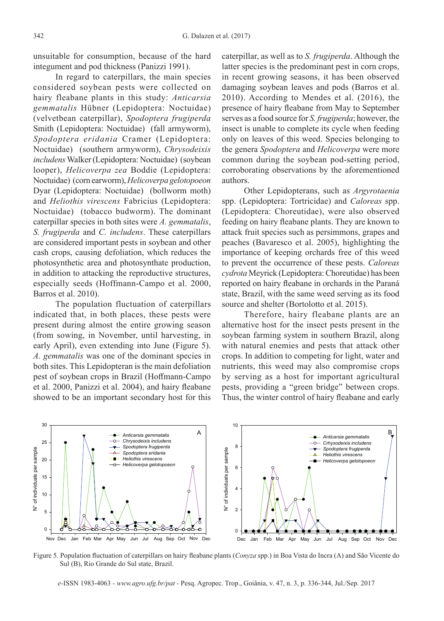unsuitable for consumption, because of the hard integument and pod thickness (Panizzi 1991).

In regard to caterpillars, the main species considered soybean pests were collected on hairy fleabane plants in this study: *Anticarsia gemmatalis* Hübner (Lepidoptera: Noctuidae) (velvetbean caterpillar), *Spodoptera frugiperda*  Smith (Lepidoptera: Noctuidae) (fall armyworm), *Spodoptera eridania* Cramer (Lepidoptera: Noctuidae) (southern armyworm), *Chrysodeixis includens* Walker(Lepidoptera: Noctuidae) (soybean looper), *Helicoverpa zea* Boddie (Lepidoptera: Noctuidae) (corn earworm), *Helicoverpa gelotopoeon*  Dyar (Lepidoptera: Noctuidae) (bollworm moth) and *Heliothis virescens* Fabricius (Lepidoptera: Noctuidae) (tobacco budworm). The dominant caterpillar species in both sites were *A. gemmatalis*, *S. frugiperda* and *C. includens*. These caterpillars are considered important pests in soybean and other cash crops, causing defoliation, which reduces the photosynthetic area and photosynthate production, in addition to attacking the reproductive structures, especially seeds (Hoffmann-Campo et al. 2000, Barros et al. 2010).

The population fluctuation of caterpillars indicated that, in both places, these pests were present during almost the entire growing season (from sowing, in November, until harvesting, in early April), even extending into June (Figure 5). *A. gemmatalis* was one of the dominant species in both sites. This Lepidopteran is the main defoliation pest of soybean crops in Brazil (Hoffmann-Campo et al. 2000, Panizzi et al. 2004), and hairy fleabane showed to be an important secondary host for this

caterpillar, as well as to *S. frugiperda*. Although the latter species is the predominant pest in corn crops, in recent growing seasons, it has been observed damaging soybean leaves and pods (Barros et al. 2010). According to Mendes et al. (2016), the presence of hairy fleabane from May to September serves as a food source for *S. frugiperda*; however, the insect is unable to complete its cycle when feeding only on leaves of this weed. Species belonging to the genera *Spodoptera* and *Helicoverpa* were more common during the soybean pod-setting period, corroborating observations by the aforementioned authors.

Other Lepidopterans, such as *Argyrotaenia* spp. (Lepidoptera: Tortricidae) and *Caloreas* spp. (Lepidoptera: Choreutidae), were also observed feeding on hairy fleabane plants. They are known to attack fruit species such as persimmons, grapes and peaches (Bavaresco et al. 2005), highlighting the importance of keeping orchards free of this weed to prevent the occurrence of these pests. *Caloreas cydrota* Meyrick (Lepidoptera: Choreutidae) has been reported on hairy fleabane in orchards in the Paraná state, Brazil, with the same weed serving as its food source and shelter (Bortolotto et al. 2015).

Therefore, hairy fleabane plants are an alternative host for the insect pests present in the soybean farming system in southern Brazil, along with natural enemies and pests that attack other crops. In addition to competing for light, water and nutrients, this weed may also compromise crops by serving as a host for important agricultural pests, providing a "green bridge" between crops. Thus, the winter control of hairy fleabane and early



Figure 5. Population fluctuation of caterpillars on hairy fleabane plants (*Conyza* spp.) in Boa Vista do Incra (A) and São Vicente do Sul (B), Rio Grande do Sul state, Brazil.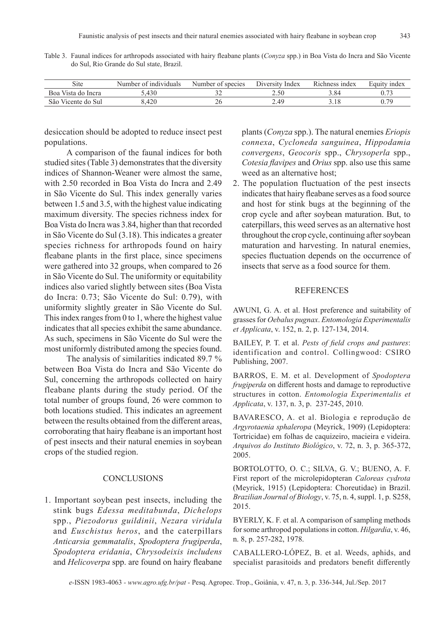| Site                     | 1ndividuals<br>Number<br>- nt | Number<br>species | Index<br>$1)$ iversity | Richness index | <sub>1</sub> ndex<br>Equity |
|--------------------------|-------------------------------|-------------------|------------------------|----------------|-----------------------------|
| Boa<br>Vista do<br>Incra | $-430$                        | ے ر               | 2.50                   | 3.84           | 0.73                        |
| São Vicente do Sul       | 3.420                         | ZU                | 2.49                   | J.IO           | 170                         |

Table 3. Faunal indices for arthropods associated with hairy fleabane plants (*Conyza* spp.) in Boa Vista do Incra and São Vicente do Sul, Rio Grande do Sul state, Brazil.

desiccation should be adopted to reduce insect pest populations.

A comparison of the faunal indices for both studied sites (Table 3) demonstrates that the diversity indices of Shannon-Weaner were almost the same, with 2.50 recorded in Boa Vista do Incra and 2.49 in São Vicente do Sul. This index generally varies between 1.5 and 3.5, with the highest value indicating maximum diversity. The species richness index for Boa Vista do Incra was 3.84, higher than that recorded in São Vicente do Sul (3.18). This indicates a greater species richness for arthropods found on hairy fleabane plants in the first place, since specimens were gathered into 32 groups, when compared to 26 in São Vicente do Sul. The uniformity or equitability indices also varied slightly between sites (Boa Vista do Incra: 0.73; São Vicente do Sul: 0.79), with uniformity slightly greater in São Vicente do Sul. This index ranges from 0 to 1, where the highest value indicates that all species exhibit the same abundance. As such, specimens in São Vicente do Sul were the most uniformly distributed among the species found.

The analysis of similarities indicated 89.7 % between Boa Vista do Incra and São Vicente do Sul, concerning the arthropods collected on hairy fleabane plants during the study period. Of the total number of groups found, 26 were common to both locations studied. This indicates an agreement between the results obtained from the different areas, corroborating that hairy fleabane is an important host of pest insects and their natural enemies in soybean crops of the studied region.

## **CONCLUSIONS**

1. Important soybean pest insects, including the stink bugs *Edessa meditabunda*, *Dichelops* spp., *Piezodorus guildinii*, *Nezara viridula* and *Euschistus heros*, and the caterpillars *Anticarsia gemmatalis*, *Spodoptera frugiperda*, *Spodoptera eridania*, *Chrysodeixis includens* and *Helicoverpa* spp. are found on hairy fleabane

plants (*Conyza* spp.). The natural enemies *Eriopis connexa*, *Cycloneda sanguinea*, *Hippodamia convergens*, *Geocoris* spp., *Chrysoperla* spp., *Cotesia flavipes* and *Orius* spp. also use this same weed as an alternative host;

2. The population fluctuation of the pest insects indicates that hairy fleabane serves as a food source and host for stink bugs at the beginning of the crop cycle and after soybean maturation. But, to caterpillars, this weed serves as an alternative host throughout the crop cycle, continuing after soybean maturation and harvesting. In natural enemies, species fluctuation depends on the occurrence of insects that serve as a food source for them.

## REFERENCES

AWUNI, G. A. et al. Host preference and suitability of grasses for *Oebalus pugnax*. *Entomologia Experimentalis et Applicata*, v. 152, n. 2, p. 127-134, 2014.

BAILEY, P. T. et al. *Pests of field crops and pastures*: identification and control. Collingwood: CSIRO Publishing, 2007.

BARROS, E. M. et al. Development of *Spodoptera frugiperda* on different hosts and damage to reproductive structures in cotton. *Entomologia Experimentalis et Applicata*, v. 137, n. 3, p. 237-245, 2010.

BAVARESCO, A. et al. Biologia e reprodução de *Argyrotaenia sphaleropa* (Meyrick, 1909) (Lepidoptera: Tortricidae) em folhas de caquizeiro, macieira e videira. *Arquivos do Instituto Biológico*, v. 72, n. 3, p. 365-372, 2005.

BORTOLOTTO, O. C.; SILVA, G. V.; BUENO, A. F. First report of the microlepidopteran *Caloreas cydrota* (Meyrick, 1915) (Lepidoptera: Choreutidae) in Brazil. *Brazilian Journal of Biology*, v. 75, n. 4, suppl. 1, p. S258, 2015.

BYERLY, K. F. et al. A comparison of sampling methods for some arthropod populations in cotton. *Hilgardia*, v. 46, n. 8, p. 257-282, 1978.

CABALLERO-LÓPEZ, B. et al. Weeds, aphids, and specialist parasitoids and predators benefit differently